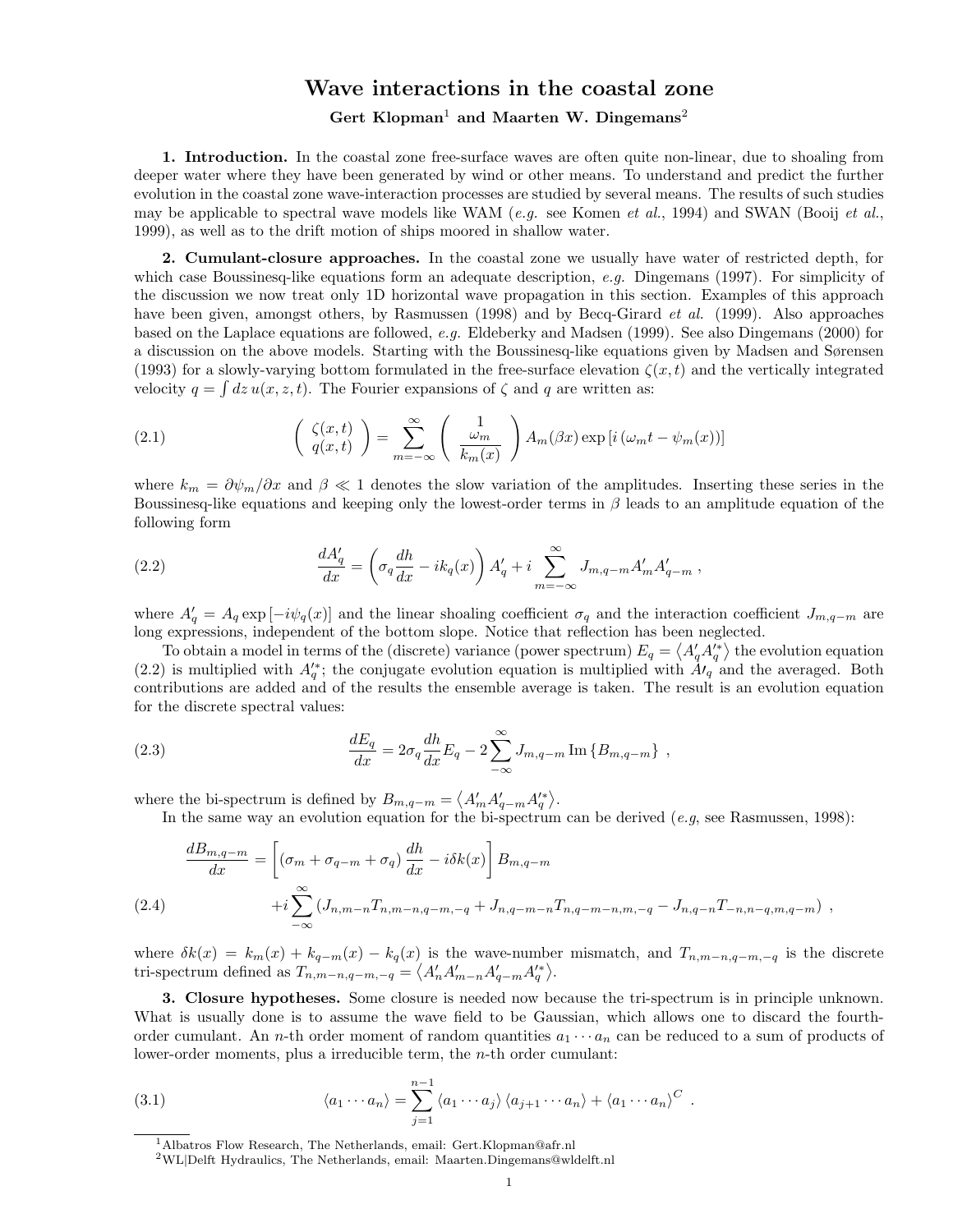## Wave interactions in the coastal zone Gert Klopman<sup>1</sup> and Maarten W. Dingemans<sup>2</sup>

1. Introduction. In the coastal zone free-surface waves are often quite non-linear, due to shoaling from deeper water where they have been generated by wind or other means. To understand and predict the further evolution in the coastal zone wave-interaction processes are studied by several means. The results of such studies may be applicable to spectral wave models like WAM (e.g. see Komen et al., 1994) and SWAN (Booij et al., 1999), as well as to the drift motion of ships moored in shallow water.

2. Cumulant-closure approaches. In the coastal zone we usually have water of restricted depth, for which case Boussinesq-like equations form an adequate description, e.g. Dingemans (1997). For simplicity of the discussion we now treat only 1D horizontal wave propagation in this section. Examples of this approach have been given, amongst others, by Rasmussen (1998) and by Becq-Girard *et al.* (1999). Also approaches based on the Laplace equations are followed, e.g. Eldeberky and Madsen (1999). See also Dingemans (2000) for a discussion on the above models. Starting with the Boussinesq-like equations given by Madsen and Sørensen (1993) for a slowly-varying bottom formulated in the free-surface elevation  $\zeta(x,t)$  and the vertically integrated velocity  $q = \int dz u(x, z, t)$ . The Fourier expansions of  $\zeta$  and q are written as:

(2.1) 
$$
\begin{pmatrix} \zeta(x,t) \\ q(x,t) \end{pmatrix} = \sum_{m=-\infty}^{\infty} \begin{pmatrix} 1 \\ \frac{\omega_m}{k_m(x)} \end{pmatrix} A_m(\beta x) \exp[i(\omega_m t - \psi_m(x))]
$$

where  $k_m = \partial \psi_m / \partial x$  and  $\beta \ll 1$  denotes the slow variation of the amplitudes. Inserting these series in the Boussinesq-like equations and keeping only the lowest-order terms in  $\beta$  leads to an amplitude equation of the following form

(2.2) 
$$
\frac{dA'_q}{dx} = \left(\sigma_q \frac{dh}{dx} - ik_q(x)\right) A'_q + i \sum_{m=-\infty}^{\infty} J_{m,q-m} A'_m A'_{q-m},
$$

where  $A'_q = A_q \exp[-i\psi_q(x)]$  and the linear shoaling coefficient  $\sigma_q$  and the interaction coefficient  $J_{m,q-m}$  are long expressions, independent of the bottom slope. Notice that reflection has been neglected.

To obtain a model in terms of the (discrete) variance (power spectrum)  $E_q = \langle A'_q A_q^{r*} \rangle$  the evolution equation (2.2) is multiplied with  $A'_q$ ; the conjugate evolution equation is multiplied with  $A'_q$  and the averaged. Both contributions are added and of the results the ensemble average is taken. The result is an evolution equation for the discrete spectral values:

(2.3) 
$$
\frac{dE_q}{dx} = 2\sigma_q \frac{dh}{dx} E_q - 2 \sum_{-\infty}^{\infty} J_{m,q-m} \text{Im} \{B_{m,q-m}\},
$$

where the bi-spectrum is defined by  $B_{m,q-m} = \langle A'_m A'_{q-m} A'^*_{q} \rangle$ .

In the same way an evolution equation for the bi-spectrum can be derived  $(e.g.,)$  see Rasmussen, 1998):

$$
\frac{dB_{m,q-m}}{dx} = \left[ (\sigma_m + \sigma_{q-m} + \sigma_q) \frac{dh}{dx} - i\delta k(x) \right] B_{m,q-m}
$$
\n
$$
+ i \sum_{-\infty}^{\infty} \left( J_{n,m-n} T_{n,m-n,q-m,-q} + J_{n,q-m-n} T_{n,q-m-n,m,-q} - J_{n,q-n} T_{-n,n-q,m,q-m} \right) ,
$$
\n(2.4)

where  $\delta k(x) = k_m(x) + k_{q-m}(x) - k_q(x)$  is the wave-number mismatch, and  $T_{n,m-n,q-m,-q}$  is the discrete tri-spectrum defined as  $T_{n,m-n,q-m,-q} = \langle A'_n A'_{m-n} A'_{q-m} A'^*_{q} \rangle$ .

3. Closure hypotheses. Some closure is needed now because the tri-spectrum is in principle unknown. What is usually done is to assume the wave field to be Gaussian, which allows one to discard the fourthorder cumulant. An *n*-th order moment of random quantities  $a_1 \cdots a_n$  can be reduced to a sum of products of lower-order moments, plus a irreducible term, the n-th order cumulant:

(3.1) 
$$
\langle a_1 \cdots a_n \rangle = \sum_{j=1}^{n-1} \langle a_1 \cdots a_j \rangle \langle a_{j+1} \cdots a_n \rangle + \langle a_1 \cdots a_n \rangle^C.
$$

<sup>1</sup>Albatros Flow Research, The Netherlands, email: Gert.Klopman@afr.nl

 $^{2}\rm{WL}$ l<br><br/>Delft Hydraulics, The Netherlands, email: Maarten.Dingemans@wldelft.nl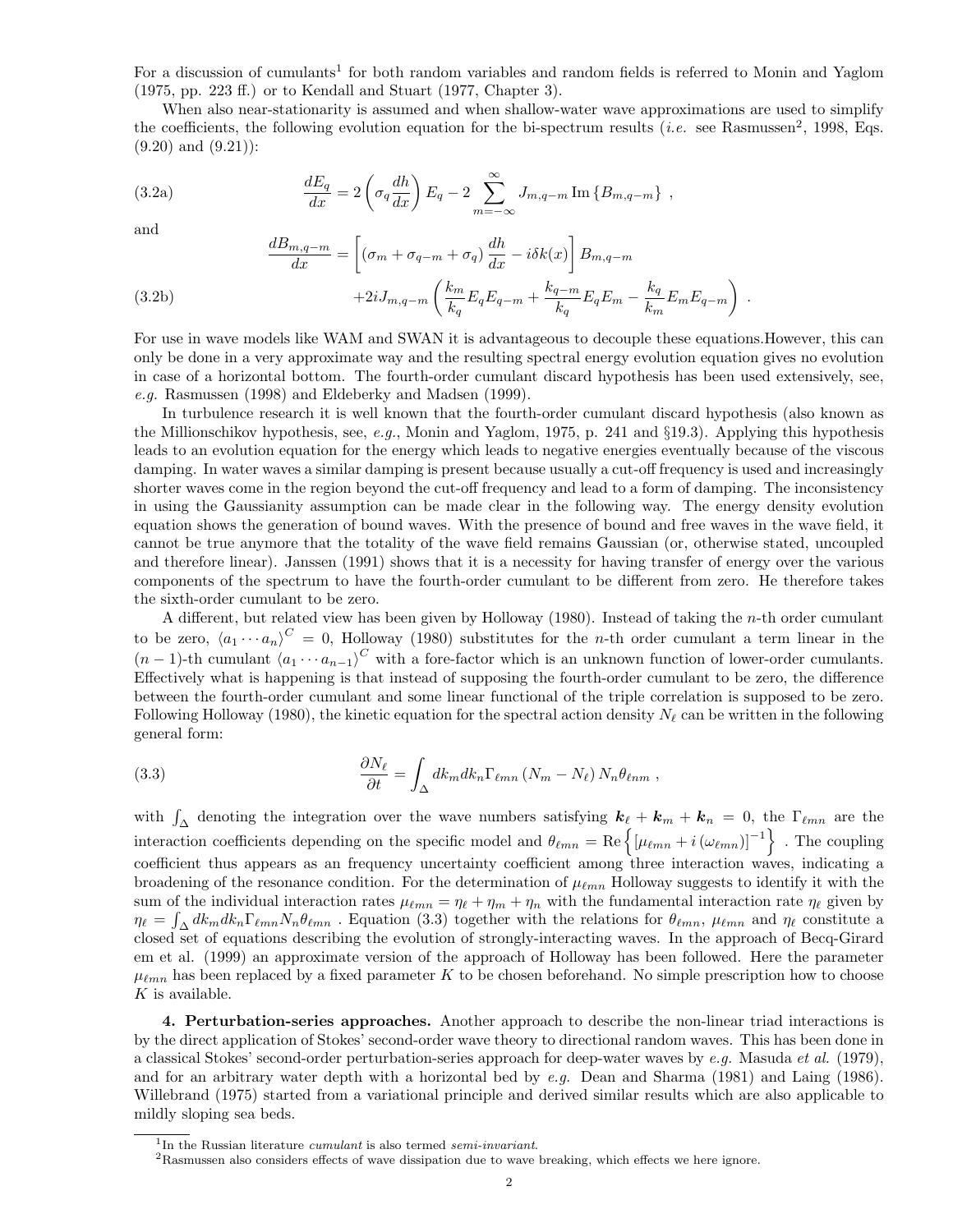For a discussion of cumulants<sup>1</sup> for both random variables and random fields is referred to Monin and Yaglom (1975, pp. 223 ff.) or to Kendall and Stuart (1977, Chapter 3).

When also near-stationarity is assumed and when shallow-water wave approximations are used to simplify the coefficients, the following evolution equation for the bi-spectrum results (*i.e.* see Rasmussen<sup>2</sup>, 1998, Eqs.  $(9.20)$  and  $(9.21)$ :

(3.2a) 
$$
\frac{dE_q}{dx} = 2\left(\sigma_q \frac{dh}{dx}\right) E_q - 2 \sum_{m=-\infty}^{\infty} J_{m,q-m} \operatorname{Im} \{B_{m,q-m}\},
$$

and

(3.2b)  
\n
$$
\frac{dB_{m,q-m}}{dx} = \left[ (\sigma_m + \sigma_{q-m} + \sigma_q) \frac{dh}{dx} - i\delta k(x) \right] B_{m,q-m} + 2i J_{m,q-m} \left( \frac{k_m}{k_q} E_q E_{q-m} + \frac{k_{q-m}}{k_q} E_q E_m - \frac{k_q}{k_m} E_m E_{q-m} \right).
$$

For use in wave models like WAM and SWAN it is advantageous to decouple these equations.However, this can only be done in a very approximate way and the resulting spectral energy evolution equation gives no evolution in case of a horizontal bottom. The fourth-order cumulant discard hypothesis has been used extensively, see, e.g. Rasmussen (1998) and Eldeberky and Madsen (1999).

In turbulence research it is well known that the fourth-order cumulant discard hypothesis (also known as the Millionschikov hypothesis, see, e.g., Monin and Yaglom, 1975, p. 241 and §19.3). Applying this hypothesis leads to an evolution equation for the energy which leads to negative energies eventually because of the viscous damping. In water waves a similar damping is present because usually a cut-off frequency is used and increasingly shorter waves come in the region beyond the cut-off frequency and lead to a form of damping. The inconsistency in using the Gaussianity assumption can be made clear in the following way. The energy density evolution equation shows the generation of bound waves. With the presence of bound and free waves in the wave field, it cannot be true anymore that the totality of the wave field remains Gaussian (or, otherwise stated, uncoupled and therefore linear). Janssen (1991) shows that it is a necessity for having transfer of energy over the various components of the spectrum to have the fourth-order cumulant to be different from zero. He therefore takes the sixth-order cumulant to be zero.

A different, but related view has been given by Holloway (1980). Instead of taking the n-th order cumulant to be zero,  $\langle a_1 \cdots a_n \rangle^C = 0$ , Holloway (1980) substitutes for the *n*-th order cumulant a term linear in the  $(n-1)$ -th cumulant  $\langle a_1 \cdots a_{n-1} \rangle^C$  with a fore-factor which is an unknown function of lower-order cumulants. Effectively what is happening is that instead of supposing the fourth-order cumulant to be zero, the difference between the fourth-order cumulant and some linear functional of the triple correlation is supposed to be zero. Following Holloway (1980), the kinetic equation for the spectral action density  $N_{\ell}$  can be written in the following general form:

(3.3) 
$$
\frac{\partial N_{\ell}}{\partial t} = \int_{\Delta} dk_m dk_n \Gamma_{\ell mn} (N_m - N_{\ell}) N_n \theta_{\ell nm} ,
$$

with  $\int_{\Delta}$  denoting the integration over the wave numbers satisfying  $k_{\ell} + k_m + k_n = 0$ , the  $\Gamma_{\ell mn}$  are the interaction coefficients depending on the specific model and  $\theta_{\ell mn} = \text{Re} \{ [\mu_{\ell mn} + i(\omega_{\ell mn})]^{-1} \}$ . The coupling coefficient thus appears as an frequency uncertainty coefficient among three interaction waves, indicating a broadening of the resonance condition. For the determination of  $\mu_{\ell mn}$  Holloway suggests to identify it with the sum of the individual interaction rates  $\mu_{\ell mn} = \eta_\ell + \eta_m + \eta_n$  with the fundamental interaction rate  $\eta_\ell$  given by  $\eta_\ell = \int_{\Delta} dk_m dk_n \Gamma_{\ell mn} N_n \theta_{\ell mn}$ . Equation (3.3) together with the relations for  $\theta_{\ell mn}$ ,  $\mu_{\ell mn}$  and  $\eta_\ell$  constitute a closed set of equations describing the evolution of strongly-interacting waves. In the approach of Becq-Girard em et al. (1999) an approximate version of the approach of Holloway has been followed. Here the parameter  $\mu_{\ell mn}$  has been replaced by a fixed parameter K to be chosen beforehand. No simple prescription how to choose  $K$  is available.

4. Perturbation-series approaches. Another approach to describe the non-linear triad interactions is by the direct application of Stokes' second-order wave theory to directional random waves. This has been done in a classical Stokes' second-order perturbation-series approach for deep-water waves by e.g. Masuda et al. (1979), and for an arbitrary water depth with a horizontal bed by e.g. Dean and Sharma (1981) and Laing (1986). Willebrand (1975) started from a variational principle and derived similar results which are also applicable to mildly sloping sea beds.

<sup>&</sup>lt;sup>1</sup>In the Russian literature *cumulant* is also termed *semi-invariant*.

<sup>&</sup>lt;sup>2</sup>Rasmussen also considers effects of wave dissipation due to wave breaking, which effects we here ignore.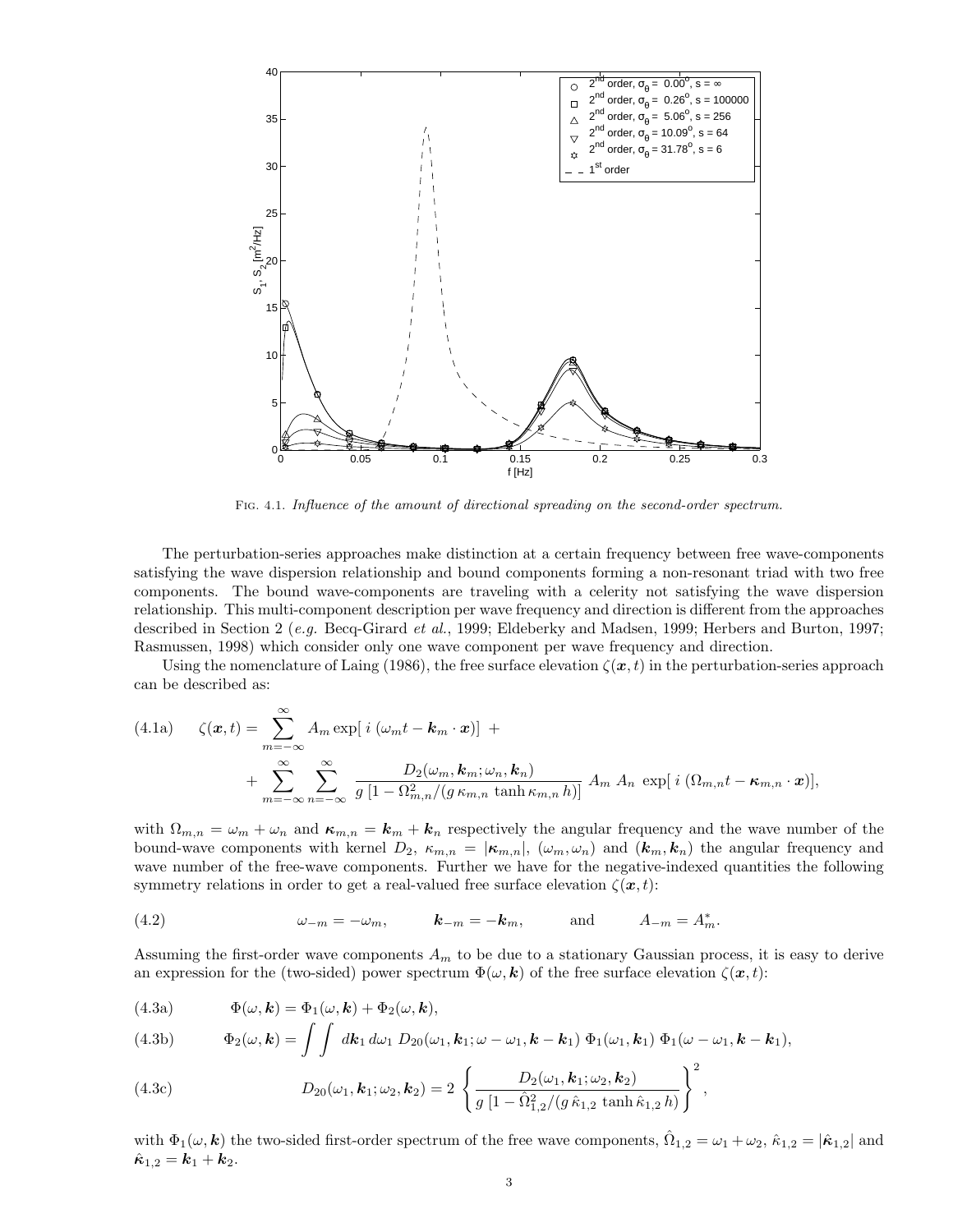

Fig. 4.1. Influence of the amount of directional spreading on the second-order spectrum.

The perturbation-series approaches make distinction at a certain frequency between free wave-components satisfying the wave dispersion relationship and bound components forming a non-resonant triad with two free components. The bound wave-components are traveling with a celerity not satisfying the wave dispersion relationship. This multi-component description per wave frequency and direction is different from the approaches described in Section 2 (e.g. Becq-Girard et al., 1999; Eldeberky and Madsen, 1999; Herbers and Burton, 1997; Rasmussen, 1998) which consider only one wave component per wave frequency and direction.

Using the nomenclature of Laing (1986), the free surface elevation  $\zeta(x, t)$  in the perturbation-series approach can be described as:

(4.1a) 
$$
\zeta(\boldsymbol{x},t) = \sum_{m=-\infty}^{\infty} A_m \exp[i(\omega_m t - \boldsymbol{k}_m \cdot \boldsymbol{x})] + \n+ \sum_{m=-\infty}^{\infty} \sum_{n=-\infty}^{\infty} \frac{D_2(\omega_m, \boldsymbol{k}_m; \omega_n, \boldsymbol{k}_n)}{g[1 - \Omega_{m,n}^2/(g \kappa_{m,n} \tanh \kappa_{m,n} h)]} A_m A_n \exp[i(\Omega_{m,n} t - \kappa_{m,n} \cdot \boldsymbol{x})],
$$

with  $\Omega_{m,n} = \omega_m + \omega_n$  and  $\kappa_{m,n} = k_m + k_n$  respectively the angular frequency and the wave number of the bound-wave components with kernel  $D_2$ ,  $\kappa_{m,n} = |\kappa_{m,n}|$ ,  $(\omega_m, \omega_n)$  and  $(k_m, k_n)$  the angular frequency and wave number of the free-wave components. Further we have for the negative-indexed quantities the following symmetry relations in order to get a real-valued free surface elevation  $\zeta(x, t)$ :

(4.2) 
$$
\omega_{-m} = -\omega_m
$$
,  $\mathbf{k}_{-m} = -\mathbf{k}_m$ , and  $A_{-m} = A_m^*$ .

Assuming the first-order wave components  $A_m$  to be due to a stationary Gaussian process, it is easy to derive an expression for the (two-sided) power spectrum  $\Phi(\omega, \mathbf{k})$  of the free surface elevation  $\zeta(\mathbf{x}, t)$ :

(4.3a) 
$$
\Phi(\omega, \mathbf{k}) = \Phi_1(\omega, \mathbf{k}) + \Phi_2(\omega, \mathbf{k}),
$$

(4.3b) 
$$
\Phi_2(\omega,\mathbf{k}) = \int \int d\mathbf{k}_1 d\omega_1 D_{20}(\omega_1,\mathbf{k}_1;\omega-\omega_1,\mathbf{k}-\mathbf{k}_1) \Phi_1(\omega_1,\mathbf{k}_1) \Phi_1(\omega-\omega_1,\mathbf{k}-\mathbf{k}_1),
$$

(4.3c) 
$$
D_{20}(\omega_1, \mathbf{k}_1; \omega_2, \mathbf{k}_2) = 2 \left\{ \frac{D_2(\omega_1, \mathbf{k}_1; \omega_2, \mathbf{k}_2)}{g \left[ 1 - \hat{\Omega}_{1,2}^2 / (g \hat{\kappa}_{1,2} \tanh \hat{\kappa}_{1,2} h)} \right]^2, \right\}
$$

with  $\Phi_1(\omega, \mathbf{k})$  the two-sided first-order spectrum of the free wave components,  $\hat{\Omega}_{1,2} = \omega_1 + \omega_2$ ,  $\hat{\kappa}_{1,2} = |\hat{\kappa}_{1,2}|$  and  $\hat{\kappa}_{1,2} = k_1 + k_2.$